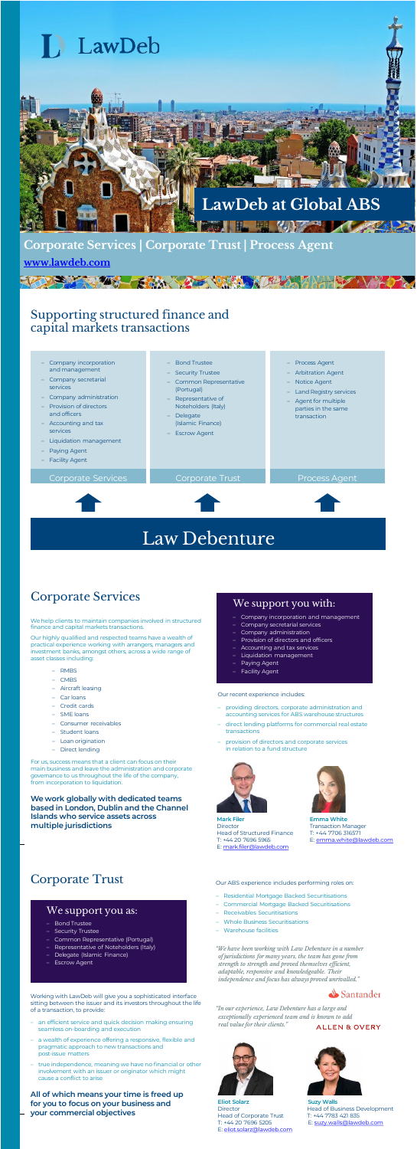- Company incorporation and management
- Company secretarial
- services
- Company administration
- Provision of directors
- and officers – Accounting and tax
- services
- Liquidation management
- Paying Agent
- Facility Agent

Corporate Servic

– Bond Trustee – Security Trustee

- Common Representative
- (Portugal)
- Representative of Noteholders (Italy)
- Delegate (Islamic Finance)
- Escrow Agent
- 

– Process Agent – Arbitration Agent – Notice Agent – Land Registry services – Agent for multiple parties in the same transaction



For us, success means that a client can focus on their main business and leave the administration and corporate governance to us throughout the life of the company, from incorporation to liquidation.

### Supporting structured finance and capital markets transactions

We help clients to maintain companies involved in structured finance and capital markets transactions.

Our highly qualified and respected teams have a wealth of practical experience working with arrangers, managers and investment banks, amongst others, across a wide range of asset classes including:

- RMBS
- CMBS
- Aircraft leasing
- Car loans
- Credit cards
- SME loans
- Consumer receivables
- Student loans
- Loan origination
- Direct lending

**Emma White** Transaction Manager T: +44 7706 316571 E: [emma.white@lawdeb.com](mailto:emma.white@lawdeb.com)

#### Our recent experience includes:

- an efficient service and quick decision making ensuring seamless on-boarding and executior
- a wealth of experience offering a responsive, flexible and pragmatic approach to new transactions and post-issue matters
- true independence, meaning we have no financial or other involvement with an issuer or originator which might cause a conflict to arise
- providing directors, corporate administration and accounting services for ABS warehouse structures
- direct lending platforms for commercial real estate transactions
- provision of directors and corporate services in relation to a fund structure



**We work globally with dedicated teams based in London, Dublin and the Channel Islands who service assets across multiple jurisdictions**

#### We support you with:

- Company incorporation and management
- Company secretarial services
- Company administration
- Provision of directors and officers – Accounting and tax services
- Liquidation management
- Paying Agent
- Facility Agent

**Mark Filer Director** Head of Structured Finance T: +44 20 7696 5965 E: [mark.filer@lawdeb.com](mailto:mark.filer@lawdeb.com)



### Corporate Services

### Corporate Trust

Working with LawDeb will give you a sophisticated interface sitting between the issuer and its investors throughout the life of a transaction, to provide:



**Eliot Solarz Director** Head of Corporate Trust T: +44 20 7696 5205 E: [eliot.solarz@lawdeb.com](mailto:eliot.solarz@lawdeb.com)



**Suzy Walls** Head of Business Development T: +44 7783 421 835 E: [suzy.walls@lawdeb.com](mailto:suzy.walls@lawdeb.com)

*"We have been working with Law Debenture in a number of jurisdictions for many years, the team has gone from strength to strength and proved themselves efficient, adaptable, responsive and knowledgeable. Their independence and focus has always proved unrivalled."*



Our ABS experience includes performing roles on:

- Residential Mortgage Backed Securitisations
- Commercial Mortgage Backed Securitisations
- Receivables Securitisations
- Whole Business Securitisations
- Warehouse facilities

*"In our experience, Law Debenture has a large and exceptionally experienced team and is known to add real value for their clients."*

ALLEN & OVERY

#### We support you as:

- Bond Trustee
- –<br>Security Trustee
- Common Representative (Portugal)
- Representative of Noteholders (Italy)
- Delegate (Islamic Finance)
- Escrow Agent

### **Corporate Services | Corporate Trust | Process Agent [www.lawdeb.com](http://www.lawdeb.com/)**

# Law Debenture

**All of which means your time is freed up for you to focus on your business and your commercial objectives**



**A DESCRIPTION AND AND A**